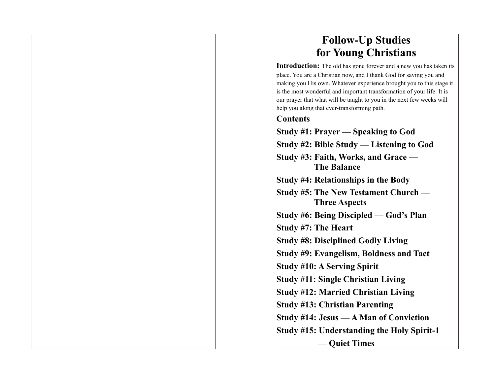# **Follow-Up Studies for Young Christians**

**Introduction:** The old has gone forever and a new you has taken its place. You are a Christian now, and I thank God for saving you and making you His own. Whatever experience brought you to this stage it is the most wonderful and important transformation of your life. It is our prayer that what will be taught to you in the next few weeks will help you along that ever-transforming path.

## **Contents**

**Study #1: Prayer — Speaking to God Study #2: Bible Study — Listening to God Study #3: Faith, Works, and Grace — The Balance Study #4: Relationships in the Body Study #5: The New Testament Church — Three Aspects Study #6: Being Discipled — God's Plan Study #7: The Heart Study #8: Disciplined Godly Living Study #9: Evangelism, Boldness and Tact Study #10: A Serving Spirit Study #11: Single Christian Living Study #12: Married Christian Living Study #13: Christian Parenting Study #14: Jesus — A Man of Conviction Study #15: Understanding the Holy Spirit-1 — Quiet Times**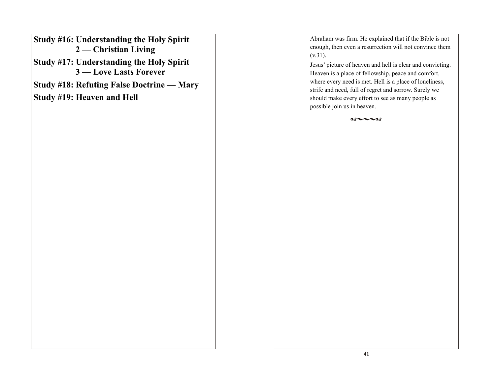**Study #16: Understanding the Holy Spirit 2 — Christian Living**

**Study #17: Understanding the Holy Spirit 3 — Love Lasts Forever**

**Study #18: Refuting False Doctrine — Mary** 

**Study #19: Heaven and Hell**

Abraham was firm. He explained that if the Bible is not enough, then even a resurrection will not convince them  $(v.31)$ .

Jesus' picture of heaven and hell is clear and convicting. Heaven is a place of fellowship, peace and comfort, where every need is met. Hell is a place of loneliness, strife and need, full of regret and sorrow. Surely we should make every effort to see as many people as possible join us in heaven.

 $82 - 182$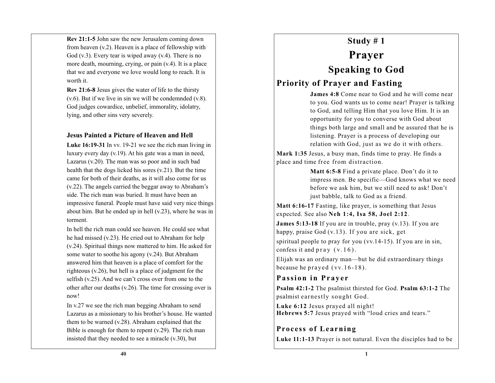**Rev 21:1-5** John saw the new Jerusalem coming down from heaven (v.2). Heaven is a place of fellowship with God  $(v.3)$ . Every tear is wiped away  $(v.4)$ . There is no more death, mourning, crying, or pain (v.4). It is a place that we and everyone we love would long to reach. It is worth it.

**Rev 21:6-8** Jesus gives the water of life to the thirsty (v.6). But if we live in sin we will be condemnded (v.8). God judges cowardice, unbelief, immorality, idolatry, lying, and other sins very severely.

#### **Jesus Painted a Picture of Heaven and Hell**

**Luke 16:19-31** In vv. 19-21 we see the rich man living in luxury every day (v.19). At his gate was a man in need, Lazarus (v.20). The man was so poor and in such bad health that the dogs licked his sores (v.21). But the time came for both of their deaths, as it will also come for us (v.22). The angels carried the beggar away to Abraham's side. The rich man was buried. It must have been an impressive funeral. People must have said very nice things about him. But he ended up in hell (v.23), where he was in torment.

In hell the rich man could see heaven. He could see what he had missed (v.23). He cried out to Abraham for help (v.24). Spiritual things now mattered to him. He asked for some water to soothe his agony (v.24). But Abraham answered him that heaven is a place of comfort for the righteous (v.26), but hell is a place of judgment for the selfish (v.25). And we can't cross over from one to the other after our deaths (v.26). The time for crossing over is now!

In v.27 we see the rich man begging Abraham to send Lazarus as a missionary to his brother's house. He wanted them to be warned (v.28). Abraham explained that the Bible is enough for them to repent (v.29). The rich man insisted that they needed to see a miracle (v.30), but

# **Study # 1 Prayer Speaking to God Priority of Prayer and Fasting**

**James 4:8** Come near to God and he will come near to you. God wants us to come near! Prayer is talking to God, and telling Him that you love Him. It is an opportunity for you to converse with God about things both large and small and be assured that he is listening. Prayer is a process of developing our relation with God, just as we do it with others.

**Mark 1:35** Jesus, a busy man, finds time to pray. He finds a place and time free from distraction.

> **Matt 6:5-8** Find a private place. Don't do it to impress men. Be specific—God knows what we need before we ask him, but we still need to ask! Don't just babble, talk to God as a friend.

**Matt 6:16-17** Fasting, like prayer, is something that Jesus expected. See also **Neh 1:4, Isa 58, Joel 2:12**.

**James 5:13-18** If you are in trouble, pray (v.13). If you are happy, praise God (v.13). If you are sick, get spiritual people to pray for you (vv.14-15). If you are in sin, confess it and  $\text{pray}(v.16)$ .

Elijah was an ordinary man—but he did extraordinary things because he prayed  $(vv.16-18)$ .

### **Passion in Prayer**

**Psalm 42:1-2** The psalmist thirsted for God. **Psalm 63:1-2** The psalmist earnestly sought God.

**Luke 6:12** Jesus prayed all night! **Hebrews 5:7** Jesus prayed with "loud cries and tears."

### **Process of Learning**

**Luke 11:1-13** Prayer is not natural. Even the disciples had to be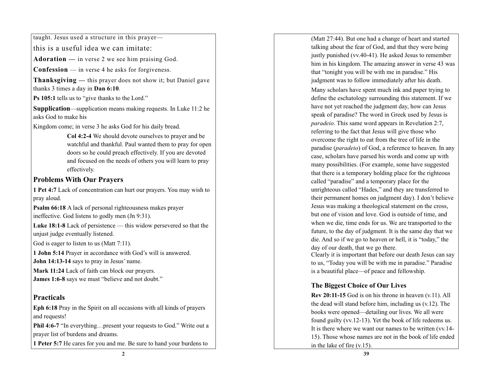taught. Jesus used a structure in this prayer—

this is a useful idea we can imitate:

Adoration - in verse 2 we see him praising God.

**Confession** — in verse 4 he asks for forgiveness.

Thanksgiving - this prayer does not show it; but Daniel gave thanks 3 times a day in Dan 6:10.

**Ps 105:1** tells us to "give thanks to the Lord."

**Supplication**—supplication means making requests. In Luke 11:2 he asks God to make his

Kingdom come; in verse 3 he asks God for his daily bread.

**Col 4:2-4**  We should devote ourselves to prayer and be watchful and thankful. Paul wanted them to pray for open doors so he could preach effectively. If you are devoted and focused on the needs of others you will learn to pray effectively.

### **Problems With Our Prayers**

**1 Pet 4:7** Lack of concentration can hurt our prayers. You may wish to pray aloud.

**Psalm 66:18**  A lack of personal righteousness makes prayer ineffective. God listens to godly men (Jn 9:31).

**Luke 18:1-8** Lack of persistence — this widow persevered so that the unjust judge eventually listened.

God is eager to listen to us (Matt 7:11).

**1 John 5:14** Prayer in accordance with God's will is answered. **John 14:13-14** says to pray in Jesus' name.

**Mark 11:24** Lack of faith can block our prayers. **James 1:6-8** says we must "believe and not doubt."

### **Practicals**

**Eph 6:18** Pray in the Spirit on all occasions with all kinds of prayers and requests!

Phil 4:6-7 "In everything...present your requests to God." Write out a prayer list of burdens and dreams.

**1 Peter 5:7** He cares for you and me. Be sure to hand your burdens to

(Matt 27:44). But one had a change of heart and started talking about the fear of God, and that they were being justly punished (vv.40-41). He asked Jesus to remember him in his kingdom. The amazing answer in verse 43 was that "tonight you will be with me in paradise." His judgment was to follow immediately after his death. Many scholars have spent much ink and paper trying to define the eschatology surrounding this statement. If we have not yet reached the judgment day, how can Jesus speak of paradise? The word in Greek used by Jesus is *paradeio*. This same word appears in Revelation 2:7, referring to the fact that Jesus will give those who overcome the right to eat from the tree of life in the paradise (*paradeio*) of God, a reference to heaven. In any case, scholars have parsed his words and come up with many possibilities. (For example, some have suggested that there is a temporary holding place for the righteous called "paradise" and a temporary place for the unrighteous called "Hades," and they are transferred to their permanent homes on judgment day). I don't believe Jesus was making a theological statement on the cross, but one of vision and love. God is outside of time, and when we die, time ends for us. We are transported to the future, to the day of judgment. It is the same day that we

die. And so if we go to heaven or hell, it is "today," the day of our death, that we go there.

Clearly it is important that before our death Jesus can say to us, "Today you will be with me in paradise." Paradise is a beautiful place—of peace and fellowship.

### **The Biggest Choice of Our Lives**

**Rev 20:11-15** God is on his throne in heaven (v.11). All the dead will stand before him, including us (v.12). The books were opened—detailing our lives. We all were found guilty (vv.12-13). Yet the book of life redeems us. It is there where we want our names to be written (vv.14- 15). Those whose names are not in the book of life ended in the lake of fire (v.15).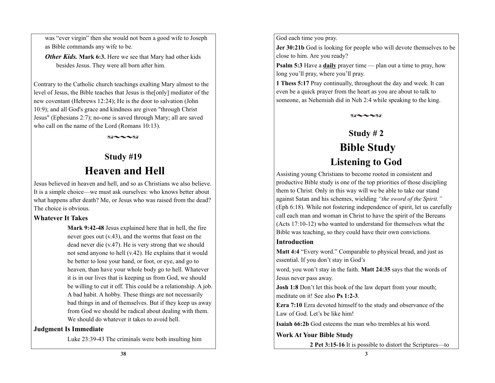was "ever virgin" then she would not been a good wife to Joseph as Bible commands any wife to be.

*Other Kids.* **Mark 6:3.** Here we see that Mary had other kids besides Jesus. They were all born after him.

Contrary to the Catholic church teachings exalting Mary almost to the level of Jesus, the Bible teaches that Jesus is the[only] mediator of the new coventant (Hebrews 12:24); He is the door to salvation (John 10:9); and all God's grace and kindness are given "through Christ Jesus" (Ephesians 2:7); no-one is saved through Mary; all are saved who call on the name of the Lord (Romans 10:13).

 $82 - -32$ 

# **Study #19 Heaven and Hell**

Jesus believed in heaven and hell, and so as Christians we also believe. It is a simple choice—we must ask ourselves: who knows better about what happens after death? Me, or Jesus who was raised from the dead? The choice is obvious.

#### **Whatever It Takes**

**Mark 9:42-48** Jesus explained here that in hell, the fire never goes out (v.43), and the worms that feast on the dead never die (v.47). He is very strong that we should not send anyone to hell (v.42). He explains that it would be better to lose your hand, or foot, or eye, and go to heaven, than have your whole body go to hell. Whatever it is in our lives that is keeping us from God, we should be willing to cut it off. This could be a relationship. A job. A bad habit. A hobby. These things are not necessarily bad things in and of themselves. But if they keep us away from God we should be radical about dealing with them. We should do whatever it takes to avoid hell.

#### **Judgment Is Immediate**

Luke 23:39-43 The criminals were both insulting him

God each time you pray.

**Jer 30:21b** God is looking for people who will devote themselves to be close to him. Are you ready?

**Psalm 5:3** Have a **daily** prayer time — plan out a time to pray, how long you'll pray, where you'll pray.

**1 Thess 5:17** Pray continually, throughout the day and week. It can even be a quick prayer from the heart as you are about to talk to someone, as Nehemiah did in Neh 2:4 while speaking to the king.

# **Study # 2 Bible Study Listening to God**

 $89 - 189$ 

Assisting young Christians to become rooted in consistent and productive Bible study is one of the top priorities of those discipling them to Christ. Only in this way will we be able to take our stand against Satan and his schemes, wielding *"the sword of the Spirit."*  (Eph 6:18). While not fostering independence of spirit, let us carefully call each man and woman in Christ to have the spirit of the Bereans (Acts 17:10-12) who wanted to understand for themselves what the Bible was teaching, so they could have their own convictions.

### **Introduction**

**Matt 4:4** "Every word." Comparable to physical bread, and just as essential. If you don't stay in God's

word, you won't stay in the faith. **Matt 24:35** says that the words of Jesus never pass away.

**Josh 1:8** Don't let this book of the law depart from your mouth; meditate on it! See also **Ps 1:2-3**.

**Ezra 7:10** Ezra devoted himself to the study and observance of the Law of God. Let's be like him!

**Isaiah 66:2b** God esteems the man who trembles at his word.

#### **Work At Your Bible Study**

**2 Pet 3:15-16** It is possible to distort the Scriptures—to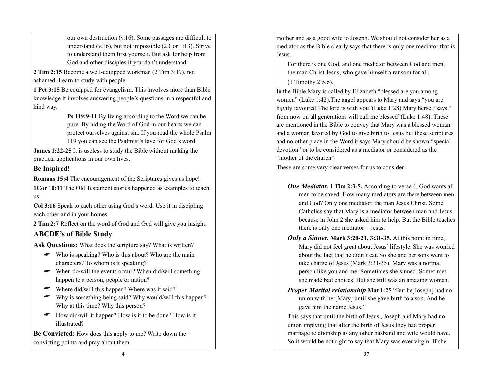our own destruction (v.16). Some passages are difficult to understand (v.16), but not impossible (2 Cor 1:13). Strive to understand them first yourself. But ask for help from God and other disciples if you don't understand.

**2 Tim 2:15** Become a well-equipped workman (2 Tim 3:17), not ashamed. Learn to study with people.

**1 Pet 3:15** Be equipped for evangelism. This involves more than Bible knowledge it involves answering people's questions in a respectful and kind way.

> **Ps 119:9-11** By living according to the Word we can be pure. By hiding the Word of God in our hearts we can protect ourselves against sin. If you read the whole Psalm 119 you can see the Psalmist's love for God's word.

**James 1:22-25** It is useless to study the Bible without making the practical applications in our own lives.

### **Be Inspired!**

**Romans 15:4** The encouragement of the Scriptures gives us hope! **1Cor 10:11** The Old Testament stories happened as examples to teach us.

**Col 3:16** Speak to each other using God's word. Use it in discipling each other and in your homes.

**2 Tim 2:7** Reflect on the word of God and God will give you insight.

## **ABCDE's of Bible Study**

Ask Questions: What does the scripture say? What is written?

- Who is speaking? Who is this about? Who are the main A characters? To whom is it speaking?
- When do/will the events occur? When did/will something happen to a person, people or nation?
- Where did/will this happen? Where was it said? A
- Why is something being said? Why would/will this happen? A Why at this time? Why this person?
- How did/will it happen? How is it to be done? How is it illustrated?  $\bullet$

**Be Convicted:** How does this apply to me? Write down the convicting points and pray about them.

mother and as a good wife to Joseph. We should not consider her as a mediator as the Bible clearly says that there is only one mediator that is Jesus.

For there is one God, and one mediator between God and men, the man Christ Jesus; who gave himself a ransom for all.

(1 Timothy 2:5,6).

In the Bible Mary is called by Elizabeth "blessed are you among women" (Luke 1:42).The angel appears to Mary and says "you are highly favoured! The lord is with you"(Luke 1:28). Mary herself says " from now on all generations will call me blessed"(Luke 1:48). These are mentioned in the Bible to convey that Mary was a blessed woman and a woman favored by God to give birth to Jesus but these scriptures and no other place in the Word it says Mary should be shown "special devotion" or to be considered as a mediator or considered as the "mother of the church".

These are some very clear verses for us to consider-

- *One Mediator.* **1 Tim 2:3-5.** According to verse 4, God wants all men to be saved. How many mediators are there between men and God? Only one mediator, the man Jesus Christ. Some Catholics say that Mary is a mediator between man and Jesus, because in John 2 she asked him to help. But the Bible teaches there is only one mediator – Jesus.
- *Only a Sinner.* **Mark 3:20-21, 3:31-35.** At this point in time, Mary did not feel great about Jesus' lifestyle. She was worried about the fact that he didn't eat. So she and her sons went to take charge of Jesus (Mark 3:31-35). Mary was a normal person like you and me. Sometimes she sinned. Sometimes she made bad choices. But she still was an amazing woman.
- *Proper Marital relationship* Mat 1:25 "But helal boostephing had no union with her[Mary] until she gave birth to a son. And he gave him the name Jesus."

This says that until the birth of Jesus , Joseph and Mary had no union implying that after the birth of Jesus they had proper marriage relationship as any other husband and wife would have. So it would be not right to say that Mary was ever virgin. If she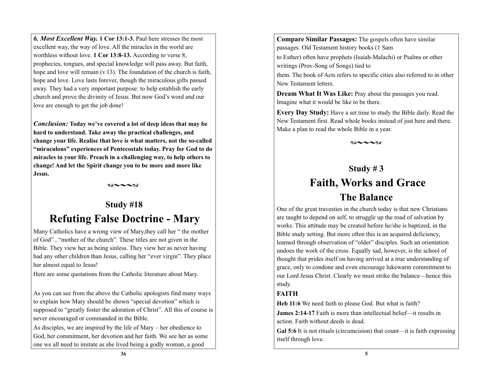*6. Most Excellent Way.* **1 Cor 13:1-3.** Paul here stresses the most excellent way, the way of love. All the miracles in the world are worthless without love. **1 Cor 13:8-13.** According to verse 8, prophecies, tongues, and special knowledge will pass away. But faith, hope and love will remain (v.13). The foundation of the church is faith, hope and love. Love lasts forever, though the miraculous gifts passed away. They had a very important purpose: to help establish the early church and prove the divinity of Jesus. But now God's word and our love are enough to get the job done!

*Conclusion:* **Today we've covered a lot of deep ideas that may be hard to understand. Take away the practical challenges, and change your life. Realise that love is what matters, not the so-called "miraculous" experiences of Pentecostals today. Pray for God to do miracles in your life. Preach in a challenging way, to help others to change! And let the Spirit change you to be more and more like Jesus.** 

 $89 - -88$ 

# **Study #18 Refuting False Doctrine - Mary**

Many Catholics have a wrong view of Mary,they call her " the mother of God" , "mother of the church". These titles are not given in the Bible. They view her as being sinless. They view her as never having had any other children than Jesus, calling her "ever virgin". They place her almost equal to Jesus!

Here are some quotations from the Catholic literature about Mary.

As you can see from the above the Catholic apologists find many ways to explain how Mary should be shown "special devotion" which is supposed to "greatly foster the adoration of Christ". All this of course is never encouraged or commanded in the Bible.

As disciples, we are inspired by the life of Mary – her obedience to God, her commitment, her devotion and her faith. We see her as some one we all need to imitate as she lived being a godly woman, a good

**Compare Similar Passages:** The gospels often have similar passages. Old Testament history books (1 Sam

to Esther) often have prophets (Isaiah-Malachi) or Psalms or other writings (Prov-Song of Songs) tied to

them. The book of Acts refers to specific cities also referred to in other New Testament letters.

**Dream What It Was Like:** Pray about the passages you read. Imagine what it would be like to be there.

**Every Day Study:** Have a set time to study the Bible daily. Read the New Testament first. Read whole books instead of just here and there. Make a plan to read the whole Bible in a year.

 $89 - -88$ 

# **Study # 3 Faith, Works and Grace**

# **The Balance**

One of the great travesties in the church today is that new Christians are taught to depend on self, to struggle up the road of salvation by works. This attitude may be created before he/she is baptized, in the Bible study setting. But more often this is an acquired deficiency, learned through observation of "older" disciples. Such an orientation undoes the work of the cross. Equally sad, however, is the school of thought that prides itself on having arrived at a true understanding of grace, only to condone and even encourage lukewarm commitment to our Lord Jesus Christ. Clearly we must strike the balance—hence this study.

## **FAITH**

**Heb 11:6** We need faith to please God. But what is faith?

**James 2:14-17** Faith is more than intellectual belief—it results in action. Faith without deeds is dead.

**Gal 5:6** It is not rituals (circumcision) that count—it is faith expressing itself through love.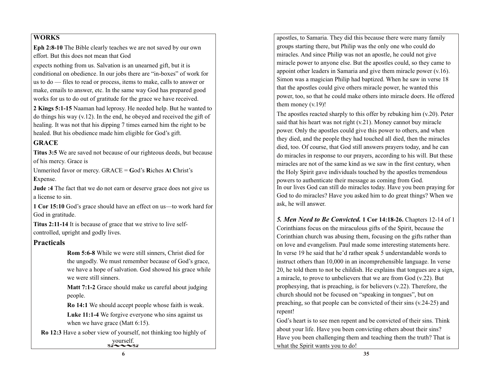#### **WORKS**

**Eph 2:8-10** The Bible clearly teaches we are not saved by our own effort. But this does not mean that God

expects nothing from us. Salvation is an unearned gift, but it is conditional on obedience. In our jobs there are "in-boxes" of work for us to do — files to read or process, items to make, calls to answer or make, emails to answer, etc. In the same way God has prepared good works for us to do out of gratitude for the grace we have received.

**2 Kings 5:1-15** Naaman had leprosy. He needed help. But he wanted to do things his way (v.12). In the end, he obeyed and received the gift of healing. It was not that his dipping 7 times earned him the right to be healed. But his obedience made him eligible for God's gift.

### **GRACE**

**Titus 3:5** We are saved not because of our righteous deeds, but because of his mercy. Grace is

Unmerited favor or mercy. GRACE = **G**od's **R**iches **A**t **C**hrist's **E**xpense.

**Jude :4** The fact that we do not earn or deserve grace does not give us a license to sin.

**1 Cor 15:10** God's grace should have an effect on us—to work hard for God in gratitude.

**Titus 2:11-14** It is because of grace that we strive to live selfcontrolled, upright and godly lives.

### **Practicals**

**Rom 5:6-8** While we were still sinners, Christ died for the ungodly. We must remember because of God's grace, we have a hope of salvation. God showed his grace while we were still sinners.

**Matt 7:1-2** Grace should make us careful about judging people.

**Ro 14:1** We should accept people whose faith is weak.

**Luke 11:1-4** We forgive everyone who sins against us when we have grace (Matt 6:15).

**Ro 12:3** Have a sober view of yourself, not thinking too highly of yourself.  $82 - 32$ 

apostles, to Samaria. They did this because there were many family groups starting there, but Philip was the only one who could do miracles. And since Philip was not an apostle, he could not give miracle power to anyone else. But the apostles could, so they came to appoint other leaders in Samaria and give them miracle power (v.16). Simon was a magician Philip had baptized. When he saw in verse 18 that the apostles could give others miracle power, he wanted this power, too, so that he could make others into miracle doers. He offered them money (v.19)!

The apostles reacted sharply to this offer by rebuking him (v.20). Peter said that his heart was not right (v.21). Money cannot buy miracle power. Only the apostles could give this power to others, and when they died, and the people they had touched all died, then the miracles died, too. Of course, that God still answers prayers today, and he can do miracles in response to our prayers, according to his will. But these miracles are not of the same kind as we saw in the first century, when the Holy Spirit gave individuals touched by the apostles tremendous powers to authenticate their message as coming from God. In our lives God can still do miracles today. Have you been praying for God to do miracles? Have you asked him to do great things? When we ask, he will answer.

*5. Men Need to Be Convicted.* **1 Cor 14:18-26.** Chapters 12-14 of 1 Corinthians focus on the miraculous gifts of the Spirit, because the Corinthian church was abusing them, focusing on the gifts rather than on love and evangelism. Paul made some interesting statements here. In verse 19 he said that he'd rather speak 5 understandable words to instruct others than 10,000 in an incomprehensible language. In verse 20, he told them to not be childish. He explains that tongues are a sign, a miracle, to prove to unbelievers that we are from God (v.22). But prophesying, that is preaching, is for believers (v.22). Therefore, the church should not be focused on "speaking in tongues", but on preaching, so that people can be convicted of their sins (v.24-25) and repent!

God's heart is to see men repent and be convicted of their sins. Think about your life. Have you been convicting others about their sins? Have you been challenging them and teaching them the truth? That is what the Spirit wants you to do!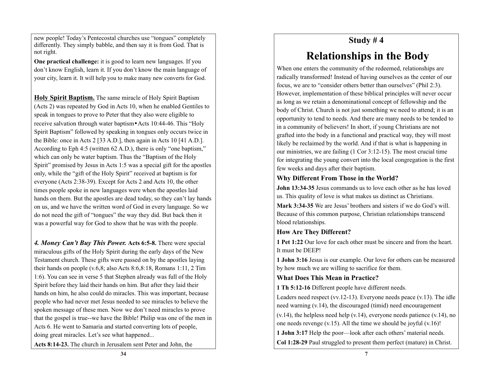new people! Today's Pentecostal churches use "tongues" completely differently. They simply babble, and then say it is from God. That is not right.

**One practical challenge:** it is good to learn new languages. If you don't know English, learn it. If you don't know the main language of your city, learn it. It will help you to make many new converts for God.

**Holy Spirit Baptism.** The same miracle of Holy Spirit Baptism (Acts 2) was repeated by God in Acts 10, when he enabled Gentiles to speak in tongues to prove to Peter that they also were eligible to receive salvation through water baptism • Acts 10:44-46. This "Holy Spirit Baptism" followed by speaking in tongues only occurs twice in the Bible: once in Acts 2 [33 A.D.], then again in Acts 10 [41 A.D.]. According to Eph 4:5 (written 62 A.D.), there is only "one baptism," which can only be water baptism. Thus the "Baptism of the Holy Spirit" promised by Jesus in Acts 1:5 was a special gift for the apostles only, while the "gift of the Holy Spirit" received at baptism is for everyone (Acts 2:38-39). Except for Acts 2 and Acts 10, the other times people spoke in new languages were when the apostles laid hands on them. But the apostles are dead today, so they can't lay hands on us, and we have the written word of God in every language. So we do not need the gift of "tongues" the way they did. But back then it was a powerful way for God to show that he was with the people.

*4. Money Can't Buy This Power.* **Acts 6:5-8.** There were special miraculous gifts of the Holy Spirit during the early days of the New Testament church. These gifts were passed on by the apostles laying their hands on people (v.6,8; also Acts 8:6,8:18, Romans 1:11, 2 Tim 1:6). You can see in verse 5 that Stephen already was full of the Holy Spirit before they laid their hands on him. But after they laid their hands on him, he also could do miracles. This was important, because people who had never met Jesus needed to see miracles to believe the spoken message of these men. Now we don't need miracles to prove that the gospel is true--we have the Bible! Philip was one of the men in Acts 6. He went to Samaria and started converting lots of people, doing great miracles. Let's see what happened...

**Acts 8:14-23.** The church in Jerusalem sent Peter and John, the

## **Study # 4**

# **Relationships in the Body**

When one enters the community of the redeemed, relationships are radically transformed! Instead of having ourselves as the center of our focus, we are to "consider others better than ourselves" (Phil 2:3). However, implementation of these biblical principles will never occur as long as we retain a denominational concept of fellowship and the body of Christ. Church is not just something we need to attend; it is an opportunity to tend to needs. And there are many needs to be tended to in a community of believers! In short, if young Christians are not grafted into the body in a functional and practical way, they will most likely be reclaimed by the world. And if that is what is happening in our ministries, we are failing (1 Cor 3:12-15). The most crucial time for integrating the young convert into the local congregation is the first few weeks and days after their baptism.

#### **Why Different From Those in the World?**

**John 13:34-35** Jesus commands us to love each other as he has loved us. This quality of love is what makes us distinct as Christians.

**Mark 3:34-35** We are Jesus' brothers and sisters if we do God's will. Because of this common purpose, Christian relationships transcend blood relationships.

### **How Are They Different?**

**1 Pet 1:22** Our love for each other must be sincere and from the heart. It must be DEEP!

**1 John 3:16** Jesus is our example. Our love for others can be measured by how much we are willing to sacrifice for them.

### **What Does This Mean in Practice?**

**1 Th 5:12-16** Different people have different needs.

Leaders need respect (vv.12-13). Everyone needs peace (v.13). The idle need warning (v.14), the discouraged (timid) need encouragement

 $(v.14)$ , the helpless need help  $(v.14)$ , everyone needs patience  $(v.14)$ , no one needs revenge  $(v.15)$ . All the time we should be joyful  $(v.16)$ !

**1 John 3:17** Help the poor—look after each others' material needs.

**Col 1:28-29** Paul struggled to present them perfect (mature) in Christ.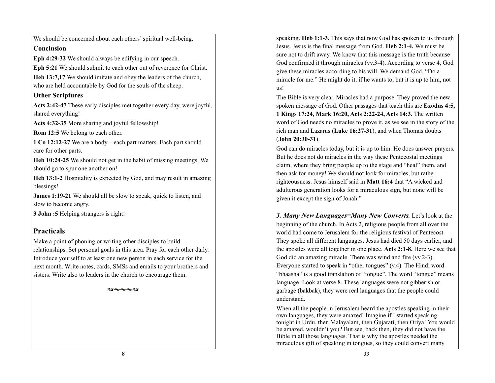We should be concerned about each others' spiritual well-being. **Conclusion**

**Eph 4:29-32** We should always be edifying in our speech.

**Eph 5:21** We should submit to each other out of reverence for Christ.

**Heb 13:7,17** We should imitate and obey the leaders of the church, who are held accountable by God for the souls of the sheep.

#### **Other Scriptures**

**Acts 2:42-47** These early disciples met together every day, were joyful, shared everything!

**Acts 4:32-35** More sharing and joyful fellowship!

**Rom 12:5** We belong to each other.

**1 Co 12:12-27** We are a body—each part matters. Each part should care for other parts.

**Heb 10:24-25** We should not get in the habit of missing meetings. We should go to spur one another on!

**Heb 13:1-2** Hospitality is expected by God, and may result in amazing blessings!

**James 1:19-21** We should all be slow to speak, quick to listen, and slow to become angry.

**3 John :5** Helping strangers is right!

### **Practicals**

Make a point of phoning or writing other disciples to build relationships. Set personal goals in this area. Pray for each other daily. Introduce yourself to at least one new person in each service for the next month. Write notes, cards, SMSs and emails to your brothers and sisters. Write also to leaders in the church to encourage them.

 $X\mathcal{A} \sim 1$ 

speaking. **Heb 1:1-3.** This says that now God has spoken to us through Jesus. Jesus is the final message from God. **Heb 2:1-4.** We must be sure not to drift away. We know that this message is the truth because God confirmed it through miracles (vv.3-4). According to verse 4, God give these miracles according to his will. We demand God, "Do a miracle for me." He might do it, if he wants to, but it is up to him, not us!

The Bible is very clear. Miracles had a purpose. They proved the new spoken message of God. Other passages that teach this are **Exodus 4:5, 1 Kings 17:24, Mark 16:20, Acts 2:22-24, Acts 14:3.** The written word of God needs no miracles to prove it, as we see in the story of the rich man and Lazarus (**Luke 16:27-31**), and when Thomas doubts (**John 20:30-31**).

God can do miracles today, but it is up to him. He does answer prayers. But he does not do miracles in the way these Pentecostal meetings claim, where they bring people up to the stage and "heal" them, and then ask for money! We should not look for miracles, but rather righteousness. Jesus himself said in **Matt 16:4** that "A wicked and adulterous generation looks for a miraculous sign, but none will be given it except the sign of Jonah."

*3. Many New Languages=Many New Converts.* Let's look at the beginning of the church. In Acts 2, religious people from all over the world had come to Jerusalem for the religious festival of Pentecost. They spoke all different languages. Jesus had died 50 days earlier, and the apostles were all together in one place. **Acts 2:1-8.** Here we see that God did an amazing miracle. There was wind and fire (vv.2-3). Everyone started to speak in "other tongues" (v.4). The Hindi word "bhaasha" is a good translation of "tongue". The word "tongue" means language. Look at verse 8. These languages were not gibberish or garbage (bakbak), they were real languages that the people could understand.

When all the people in Jerusalem heard the apostles speaking in their own languages, they were amazed! Imagine if I started speaking tonight in Urdu, then Malayalam, then Gujarati, then Oriya! You would be amazed, wouldn't you? But see, back then, they did not have the Bible in all those languages. That is why the apostles needed the miraculous gift of speaking in tongues, so they could convert many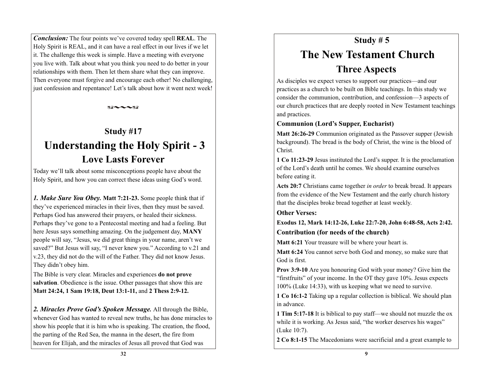*Conclusion:* The four points we've covered today spell **REAL**. The Holy Spirit is REAL, and it can have a real effect in our lives if we let it. The challenge this week is simple. Have a meeting with everyone you live with. Talk about what you think you need to do better in your relationships with them. Then let them share what they can improve. Then everyone must forgive and encourage each other! No challenging, just confession and repentance! Let's talk about how it went next week!

 $X\mathcal{A} \sim 1$ 

# **Study #17 Understanding the Holy Spirit - 3 Love Lasts Forever**

Today we'll talk about some misconceptions people have about the Holy Spirit, and how you can correct these ideas using God's word.

*1. Make Sure You Obey.* **Matt 7:21-23.** Some people think that if they've experienced miracles in their lives, then they must be saved. Perhaps God has answered their prayers, or healed their sickness. Perhaps they've gone to a Pentecostal meeting and had a feeling. But here Jesus says something amazing. On the judgement day, **MANY** people will say, "Jesus, we did great things in your name, aren't we saved?" But Jesus will say, "I never knew you." According to v.21 and v.23, they did not do the will of the Father. They did not know Jesus. They didn't obey him.

The Bible is very clear. Miracles and experiences **do not prove salvation**. Obedience is the issue. Other passages that show this are **Matt 24:24, 1 Sam 19:18, Deut 13:1-11,** and **2 Thess 2:9-12.** 

*2. Miracles Prove God's Spoken Message.* All through the Bible, whenever God has wanted to reveal new truths, he has done miracles to show his people that it is him who is speaking. The creation, the flood, the parting of the Red Sea, the manna in the desert, the fire from heaven for Elijah, and the miracles of Jesus all proved that God was

# **Study # 5 The New Testament Church Three Aspects**

As disciples we expect verses to support our practices—and our practices as a church to be built on Bible teachings. In this study we consider the communion, contribution, and confession—3 aspects of our church practices that are deeply rooted in New Testament teachings and practices.

### **Communion (Lord's Supper, Eucharist)**

**Matt 26:26-29** Communion originated as the Passover supper (Jewish background). The bread is the body of Christ, the wine is the blood of Christ.

**1 Co 11:23-29** Jesus instituted the Lord's supper. It is the proclamation of the Lord's death until he comes. We should examine ourselves before eating it.

**Acts 20:7** Christians came together *in order* to break bread. It appears from the evidence of the New Testament and the early church history that the disciples broke bread together at least weekly.

### **Other Verses:**

**Exodus 12, Mark 14:12-26, Luke 22:7-20, John 6:48-58, Acts 2:42. Contribution (for needs of the church)**

**Matt 6:21** Your treasure will be where your heart is.

**Matt 6:24** You cannot serve both God and money, so make sure that God is first.

**Prov 3:9-10** Are you honouring God with your money? Give him the "firstfruits" of your income. In the OT they gave 10%. Jesus expects 100% (Luke 14:33), with us keeping what we need to survive.

**1 Co 16:1-2** Taking up a regular collection is biblical. We should plan in advance.

**1 Tim 5:17-18** It is biblical to pay staff—we should not muzzle the ox while it is working. As Jesus said, "the worker deserves his wages" (Luke 10:7).

**2 Co 8:1-15** The Macedonians were sacrificial and a great example to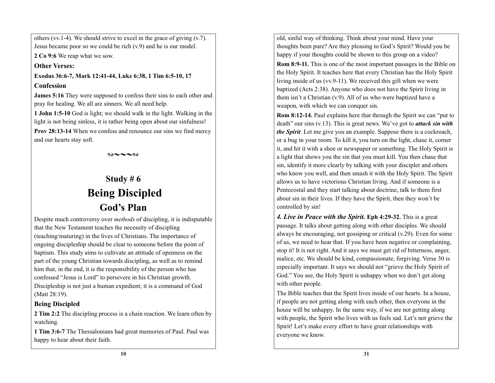others (vv.1-4). We should strive to excel in the grace of giving  $(v.7)$ . Jesus became poor so we could be rich (v.9) and he is our model.

**2 Co 9:6** We reap what we sow.

**Other Verses:**

**Exodus 36:6-7, Mark 12:41-44, Luke 6:38, 1 Tim 6:5-10, 17 Confession**

**James 5:16** They were supposed to confess their sins to each other and pray for healing. We all are sinners. We all need help.

**1 John 1:5-10** God is light; we should walk in the light. Walking in the light is not being sinless, it is rather being open about our sinfulness! **Prov 28:13-14** When we confess and renounce our sins we find mercy and our hearts stay soft.

 $88 - -38$ 

# **Study # 6 Being Discipled God's Plan**

Despite much controversy over *methods* of discipling, it is indisputable that the New Testament teaches the necessity of discipling (teaching/maturing) in the lives of Christians. The importance of ongoing discipleship should be clear to someone before the point of baptism. This study aims to cultivate an attitude of openness on the part of the young Christian towards discipling, as well as to remind him that, in the end, it is the responsibility of the person who has confessed "Jesus is Lord" to persevere in his Christian growth. Discipleship is not just a human expedient; it is a command of God (Matt 28:19).

### **Being Discipled**

**2 Tim 2:2** The discipling process is a chain reaction. We learn often by watching.

**1 Tim 3:6-7** The Thessalonians had great memories of Paul. Paul was happy to hear about their faith.

old, sinful way of thinking. Think about your mind. Have your thoughts been pure? Are they pleasing to God's Spirit? Would you be happy if your thoughts could be shown to this group on a video?

**Rom 8:9-11.** This is one of the most important passages in the Bible on the Holy Spirit. It teaches here that every Christian has the Holy Spirit living inside of us (vv.9-11). We received this gift when we were baptized (Acts 2:38). Anyone who does not have the Spirit living in them isn't a Christian (v.9). All of us who were baptized have a weapon, with which we can conquer sin.

**Rom 8:12-14.** Paul explains here that through the Spirit we can "put to death" our sins (v.13). This is great news. We've got to *attack sin with the Spirit*. Let me give you an example. Suppose there is a cockroach, or a bug in your room. To kill it, you turn on the light, chase it, corner it, and hit it with a shoe or newspaper or something. The Holy Spirit is a light that shows you the sin that you must kill. You then chase that sin, identify it more clearly by talking with your discipler and others who know you well, and then smash it with the Holy Spirit. The Spirit allows us to have victorious Christian living. And if someone is a Pentecostal and they start talking about doctrine, talk to them first about sin in their lives. If they have the Spirit, then they won't be controlled by sin!

*4. Live in Peace with the Spirit.* **Eph 4:29-32.** This is a great passage. It talks about getting along with other disciples. We should always be encouraging, not gossiping or critical (v.29). Even for some of us, we need to hear that. If you have been negative or complaining, stop it! It is not right. And it says we must get rid of bitterness, anger, malice, etc. We should be kind, compassionate, forgiving. Verse 30 is especially important. It says we should not "grieve the Holy Spirit of God." You see, the Holy Spirit is unhappy when we don't get along with other people.

The Bible teaches that the Spirit lives inside of our hearts. In a house, if people are not getting along with each other, then everyone in the house will be unhappy. In the same way, if we are not getting along with people, the Spirit who lives with us feels sad. Let's not grieve the Spirit! Let's make every effort to have great relationships with everyone we know.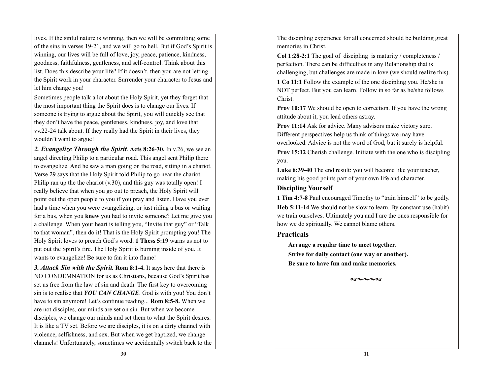lives. If the sinful nature is winning, then we will be committing some of the sins in verses 19-21, and we will go to hell. But if God's Spirit is winning, our lives will be full of love, joy, peace, patience, kindness, goodness, faithfulness, gentleness, and self-control. Think about this list. Does this describe your life? If it doesn't, then you are not letting the Spirit work in your character. Surrender your character to Jesus and let him change you!

Sometimes people talk a lot about the Holy Spirit, yet they forget that the most important thing the Spirit does is to change our lives. If someone is trying to argue about the Spirit, you will quickly see that they don't have the peace, gentleness, kindness, joy, and love that vv.22-24 talk about. If they really had the Spirit in their lives, they wouldn't want to argue!

*2. Evangelize Through the Spirit.* **Acts 8:26-30.** In v.26, we see an angel directing Philip to a particular road. This angel sent Philip there to evangelize. And he saw a man going on the road, sitting in a chariot. Verse 29 says that the Holy Spirit told Philip to go near the chariot. Philip ran up the the chariot (v.30), and this guy was totally open! I really believe that when you go out to preach, the Holy Spirit will point out the open people to you if you pray and listen. Have you ever had a time when you were evangelizing, or just riding a bus or waiting for a bus, when you **knew** you had to invite someone? Let me give you a challenge. When your heart is telling you, "Invite that guy" or "Talk to that woman", then do it! That is the Holy Spirit prompting you! The Holy Spirit loves to preach God's word. **1 Thess 5:19** warns us not to put out the Spirit's fire. The Holy Spirit is burning inside of you. It wants to evangelize! Be sure to fan it into flame!

*3. Attack Sin with the Spirit.* **Rom 8:1-4.** It says here that there is NO CONDEMNATION for us as Christians, because God's Spirit has set us free from the law of sin and death. The first key to overcoming sin is to realise that *YOU CAN CHANGE*. God is with you! You don't have to sin anymore! Let's continue reading... **Rom 8:5-8.** When we are not disciples, our minds are set on sin. But when we become disciples, we change our minds and set them to what the Spirit desires. It is like a TV set. Before we are disciples, it is on a dirty channel with violence, selfishness, and sex. But when we get baptized, we change channels! Unfortunately, sometimes we accidentally switch back to the The discipling experience for all concerned should be building great memories in Christ.

**Col 1:28-2:1** The goal of discipling is maturity / completeness / perfection. There can be difficulties in any Relationship that is challenging, but challenges are made in love (we should realize this).

**1 Co 11:1** Follow the example of the one discipling you. He/she is NOT perfect. But you can learn. Follow in so far as he/she follows Christ.

**Prov 10:17** We should be open to correction. If you have the wrong attitude about it, you lead others astray.

**Prov 11:14** Ask for advice. Many advisors make victory sure. Different perspectives help us think of things we may have overlooked. Advice is not the word of God, but it surely is helpful.

**Prov 15:12** Cherish challenge. Initiate with the one who is discipling you.

**Luke 6:39-40** The end result: you will become like your teacher, making his good points part of your own life and character.

#### **Discipling Yourself**

**1 Tim 4:7-8** Paul encouraged Timothy to "train himself" to be godly. **Heb 5:11-14** We should not be slow to learn. By constant use (habit) we train ourselves. Ultimately you and I are the ones responsible for how we do spiritually. We cannot blame others.

### **Practicals**

**Arrange a regular time to meet together. Strive for daily contact (one way or another). Be sure to have fun and make memories.**

 $82 - 182$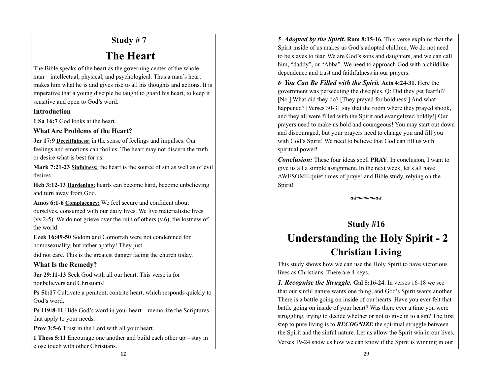# **Study # 7**

# **The Heart**

The Bible speaks of the heart as the governing center of the whole man—intellectual, physical, and psychological. Thus a man's heart makes him what he is and gives rise to all his thoughts and actions. It is imperative that a young disciple be taught to guard his heart, to keep it sensitive and open to God's word.

#### **Introduction**

**1 Sa 16:7** God looks at the heart.

### **What Are Problems of the Heart?**

**Jer 17:9 Deceitfulness:** in the sense of feelings and impulses. Our feelings and emotions can fool us. The heart may not discern the truth or desire what is best for us.

**Mark 7:21-23 Sinfulness:** the heart is the source of sin as well as of evil desires.

**Heb 3:12-13 Hardening:** hearts can become hard, become unbelieving and turn away from God.

**Amos 6:1-6 Complacency:** We feel secure and confident about ourselves, consumed with our daily lives. We live materialistic lives (vv.2-5). We do not grieve over the ruin of others (v.6), the lostness of the world.

**Ezek 16:49-50** Sodom and Gomorrah were not condemned for homosexuality, but rather apathy! They just

did not care. This is the greatest danger facing the church today.

## **What Is the Remedy?**

**Jer 29:11-13** Seek God with all our heart. This verse is for nonbelievers and Christians!

**Ps 51:17** Cultivate a penitent, contrite heart, which responds quickly to God's word.

**Ps 119:8-11** Hide God's word in your heart—memorize the Scriptures that apply to your needs.

**Prov 3:5-6** Trust in the Lord with all your heart.

**1 Thess 5:11** Encourage one another and build each other up—stay in close touch with other Christians.

*5*· *Adopted by the Spirit.* **Rom 8:15-16.** This verse explains that the Spirit inside of us makes us God's adopted children. We do not need to be slaves to fear. We are God's sons and daughters, and we can call him, "daddy", or "Abba". We need to approach God with a childlike dependence and trust and faithfulness in our prayers.

*6*· *You Can Be Filled with the Spirit.* **Acts 4:24-31.** Here the government was persecuting the disciples. Q: Did they get fearful? [No.] What did they do? [They prayed for boldness!] And what happened? [Verses 30-31 say that the room where they prayed shook, and they all were filled with the Spirit and evangelized boldly!] Our prayers need to make us bold and courageous! You may start out down and discouraged, but your prayers need to change you and fill you with God's Spirit! We need to believe that God can fill us with spiritual power!

*Conclusion:* These four ideas spell **PRAY**. In conclusion, I want to give us all a simple assignment. In the next week, let's all have AWESOME quiet times of prayer and Bible study, relying on the Spirit!

 $X\mathbb{R}\sim\sim X\mathbb{R}$ 

# **Study #16 Understanding the Holy Spirit - 2 Christian Living**

This study shows how we can use the Holy Spirit to have victorious lives as Christians. There are 4 keys.

*1. Recognise the Struggle.* **Gal 5:16-24.** In verses 16-18 we see that our sinful nature wants one thing, and God's Spirit wants another. There is a battle going on inside of our hearts. Have you ever felt that battle going on inside of your heart? Was there ever a time you were struggling, trying to decide whether or not to give in to a sin? The first step to pure living is to *RECOGNIZE* the spiritual struggle between the Spirit and the sinful nature. Let us allow the Spirit win in our lives. Verses 19-24 show us how we can know if the Spirit is winning in our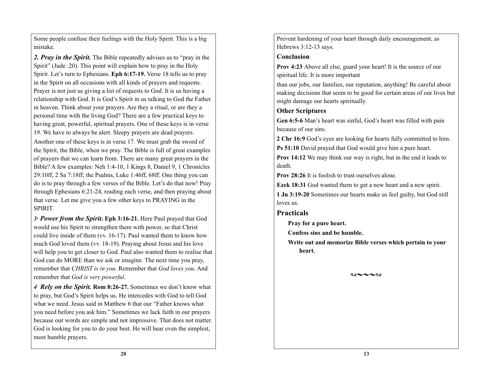Some people confuse their feelings with the Holy Spirit. This is a big mistake.

*2. Pray in the Spirit.* The Bible repeatedly advises us to "pray in the Spirit" (Jude :20). This point will explain how to pray in the Holy Spirit. Let's turn to Ephesians. **Eph 6:17-19.** Verse 18 tells us to pray in the Spirit on all occasions with all kinds of prayers and requests. Prayer is not just us giving a list of requests to God. It is us having a relationship with God. It is God's Spirit in us talking to God the Father in heaven. Think about your prayers. Are they a ritual, or are they a personal time with the living God? There are a few practical keys to having great, powerful, spiritual prayers. One of these keys is in verse 19. We have to always be alert. Sleepy prayers are dead prayers.

Another one of these keys is in verse 17. We must grab the sword of the Spirit, the Bible, when we pray. The Bible is full of great examples of prayers that we can learn from. There are many great prayers in the Bible? A few examples: Neh 1:4-10, 1 Kings 8, Daniel 9, 1 Chronicles 29:10ff, 2 Sa 7:18ff, the Psalms, Luke 1:46ff, 68ff. One thing you can do is to pray through a few verses of the Bible. Let's do that now! Pray through Ephesians 6:21-24, reading each verse, and then praying about that verse. Let me give you a few other keys to PRAYING in the SPIRIT.

*3***·** *Power from the Spirit***. Eph 3:16-21.** Here Paul prayed that God would use his Spirit to strengthen them with power, so that Christ could live inside of them (vv. 16-17). Paul wanted them to know how much God loved them (vv. 18-19). Praying about Jesus and his love will help you to get closer to God. Paul also wanted them to realise that God can do MORE than we ask or imagine. The next time you pray, remember that *CHRIST is in you*. Remember that *God loves you*. And remember that *God is very powerful*.

*4*· *Rely on the Spirit.* **Rom 8:26-27.** Sometimes we don't know what to pray, but God's Spirit helps us. He intercedes with God to tell God what we need. Jesus said in Matthew 6 that our "Father knows what you need before you ask him." Sometimes we lack faith in our prayers because our words are simple and not impressive. That does not matter. God is looking for you to do your best. He will hear even the simplest, most humble prayers.

Prevent hardening of your heart through daily encouragement, as Hebrews 3:12-13 says.

#### **Conclusion**

**Prov 4:23** Above all else, guard your heart! It is the source of our spiritual life. It is more important

than our jobs, our families, our reputation, anything! Be careful about making decisions that seem to be good for certain areas of our lives but might damage our hearts spiritually.

#### **Other Scriptures**

**Gen 6:5-6** Man's heart was sinful, God's heart was filled with pain because of our sins.

**2 Chr 16:9** God's eyes are looking for hearts fully committed to him.

**Ps 51:10** David prayed that God would give him a pure heart.

**Prov 14:12** We may think our way is right, but in the end it leads to death.

**Prov 28:26** It is foolish to trust ourselves alone.

**Ezek 18:31** God wanted them to get a new heart and a new spirit.

**1 Jn 3:19-20** Sometimes our hearts make us feel guilty, but God still loves us.

### **Practicals**

**Pray for a pure heart.**

**Confess sins and be humble.**

**Write out and memorize Bible verses which pertain to your heart.**

 $XG \sim 1.8$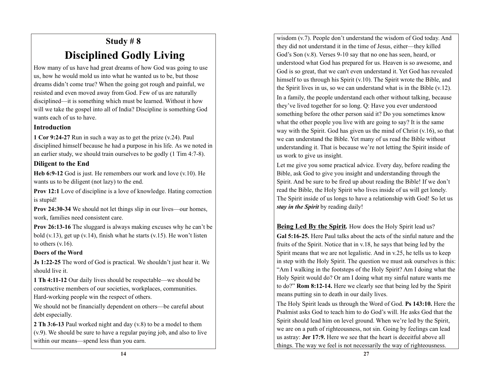# **Study # 8 Disciplined Godly Living**

How many of us have had great dreams of how God was going to use us, how he would mold us into what he wanted us to be, but those dreams didn't come true? When the going got rough and painful, we resisted and even moved away from God. Few of us are naturally disciplined—it is something which must be learned. Without it how will we take the gospel into all of India? Discipline is something God wants each of us to have.

#### **Introduction**

**1 Cor 9:24-27** Run in such a way as to get the prize (v.24). Paul disciplined himself because he had a purpose in his life. As we noted in an earlier study, we should train ourselves to be godly (1 Tim 4:7-8).

### **Diligent to the End**

**Heb 6:9-12** God is just. He remembers our work and love (v.10). He wants us to be diligent (not lazy) to the end.

**Prov 12:1** Love of discipline is a love of knowledge. Hating correction is stupid!

**Prov 24:30-34** We should not let things slip in our lives—our homes, work, families need consistent care.

**Prov 26:13-16** The sluggard is always making excuses why he can't be bold  $(v.13)$ , get up  $(v.14)$ , finish what he starts  $(v.15)$ . He won't listen to others  $(v.16)$ .

#### **Doers of the Word**

**Js 1:22-25** The word of God is practical. We shouldn't just hear it. We should live it.

**1 Th 4:11-12** Our daily lives should be respectable—we should be constructive members of our societies, workplaces, communities. Hard-working people win the respect of others.

We should not be financially dependent on others—be careful about debt especially.

**2 Th 3:6-13** Paul worked night and day (v.8) to be a model to them (v.9). We should be sure to have a regular paying job, and also to live within our means—spend less than you earn.

wisdom (v.7). People don't understand the wisdom of God today. And they did not understand it in the time of Jesus, either—they killed God's Son (v.8). Verses 9-10 say that no one has seen, heard, or understood what God has prepared for us. Heaven is so awesome, and God is so great, that we can't even understand it. Yet God has revealed himself to us through his Spirit (v.10). The Spirit wrote the Bible, and the Spirit lives in us, so we can understand what is in the Bible (v.12). In a family, the people understand each other without talking, because they've lived together for so long. Q: Have you ever understood something before the other person said it? Do you sometimes know what the other people you live with are going to say? It is the same way with the Spirit. God has given us the mind of Christ  $(v.16)$ , so that we can understand the Bible. Yet many of us read the Bible without understanding it. That is because we're not letting the Spirit inside of us work to give us insight.

Let me give you some practical advice. Every day, before reading the Bible, ask God to give you insight and understanding through the Spirit. And be sure to be fired up about reading the Bible! If we don't read the Bible, the Holy Spirit who lives inside of us will get lonely. The Spirit inside of us longs to have a relationship with God! So let us *stay in the Spirit* by reading daily!

**Being Led By the Spirit***.* How does the Holy Spirit lead us?

**Gal 5:16-25.** Here Paul talks about the acts of the sinful nature and the fruits of the Spirit. Notice that in v.18, he says that being led by the Spirit means that we are not legalistic. And in v.25, he tells us to keep in step with the Holy Spirit. The question we must ask ourselves is this: "Am I walking in the footsteps of the Holy Spirit? Am I doing what the Holy Spirit would do? Or am I doing what my sinful nature wants me to do?" **Rom 8:12-14.** Here we clearly see that being led by the Spirit means putting sin to death in our daily lives.

The Holy Spirit leads us through the Word of God. **Ps 143:10.** Here the Psalmist asks God to teach him to do God's will. He asks God that the Spirit should lead him on level ground. When we're led by the Spirit, we are on a path of righteousness, not sin. Going by feelings can lead us astray: **Jer 17:9.** Here we see that the heart is deceitful above all things. The way we feel is not necessarily the way of righteousness.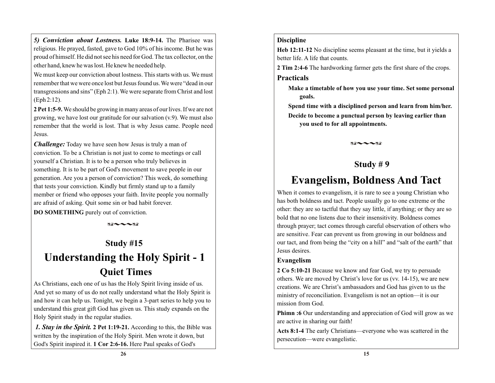*5) Conviction about Lostness.* **Luke 18:9-14.** The Pharisee was religious. He prayed, fasted, gave to God 10% of his income. But he was proud of himself. He did not see his need for God. The tax collector, on the other hand, knew he was lost. He knew he needed help.

We must keep our conviction about lostness. This starts with us. We must remember that we were once lost but Jesus found us. We were "dead in our transgressions and sins" (Eph 2:1). We were separate from Christ and lost (Eph 2:12).

**2 Pet 1:5-9.** We should be growing in many areas of our lives. If we are not growing, we have lost our gratitude for our salvation (v.9). We must also remember that the world is lost. That is why Jesus came. People need Jesus.

*Challenge:* Today we have seen how Jesus is truly a man of conviction. To be a Christian is not just to come to meetings or call yourself a Christian. It is to be a person who truly believes in something. It is to be part of God's movement to save people in our generation. Are you a person of conviction? This week, do something that tests your conviction. Kindly but firmly stand up to a family member or friend who opposes your faith. Invite people you normally are afraid of asking. Quit some sin or bad habit forever.

**DO SOMETHING** purely out of conviction.



## **Study #15**

# **Understanding the Holy Spirit - 1 Quiet Times**

As Christians, each one of us has the Holy Spirit living inside of us. And yet so many of us do not really understand what the Holy Spirit is and how it can help us. Tonight, we begin a 3-part series to help you to understand this great gift God has given us. This study expands on the Holy Spirit study in the regular studies.

*1. Stay in the Spirit.* **2 Pet 1:19-21.** According to this, the Bible was written by the inspiration of the Holy Spirit. Men wrote it down, but God's Spirit inspired it. **1 Cor 2:6-16.** Here Paul speaks of God's

#### **Discipline**

**Heb 12:11-12** No discipline seems pleasant at the time, but it yields a better life. A life that counts.

**2 Tim 2:4-6** The hardworking farmer gets the first share of the crops.

#### **Practicals**

**Make a timetable of how you use your time. Set some personal goals.**

**Spend time with a disciplined person and learn from him/her. Decide to become a punctual person by leaving earlier than you used to for all appointments.**

 $X\mathbb{R}\sim\sim X\mathbb{R}$ 

## **Study # 9**

# **Evangelism, Boldness And Tact**

When it comes to evangelism, it is rare to see a young Christian who has both boldness and tact. People usually go to one extreme or the other: they are so tactful that they say little, if anything; or they are so bold that no one listens due to their insensitivity. Boldness comes through prayer; tact comes through careful observation of others who are sensitive. Fear can prevent us from growing in our boldness and our tact, and from being the "city on a hill" and "salt of the earth" that Jesus desires.

### **Evangelism**

**2 Co 5:10-21** Because we know and fear God, we try to persuade others. We are moved by Christ's love for us (vv. 14-15), we are new creations. We are Christ's ambassadors and God has given to us the ministry of reconciliation. Evangelism is not an option—it is our mission from God.

**Phimn :6** Our understanding and appreciation of God will grow as we are active in sharing our faith!

**Acts 8:1-4** The early Christians—everyone who was scattered in the persecution—were evangelistic.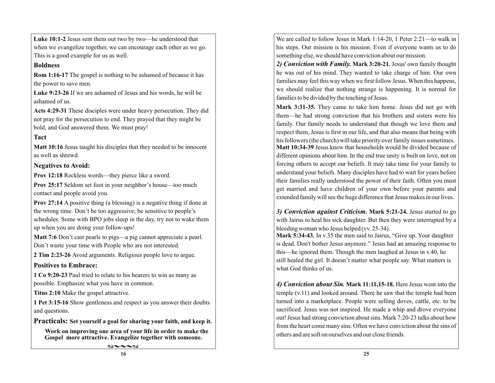**Luke 10:1-2** Jesus sent them out two by two—he understood that when we evangelize together, we can encourage each other as we go. This is a good example for us as well.

#### **Boldness**

**Rom 1:16-17** The gospel is nothing to be ashamed of because it has the power to save men.

**Luke 9:23-26** If we are ashamed of Jesus and his words, he will be ashamed of us.

**Acts 4:29-31** These disciples were under heavy persecution. They did not pray for the persecution to end. They prayed that they might be bold, and God answered them. We must pray!

### **Tact**

**Matt 10:16** Jesus taught his disciples that they needed to be innocent as well as shrewd.

#### **Negatives to Avoid:**

**Prov 12:18** Reckless words—they pierce like a sword.

**Prov 25:17** Seldom set foot in your neighbor's house—too much contact and people avoid you.

**Prov 27:14** A positive thing (a blessing) is a negative thing if done at the wrong time. Don't be too aggressive; be sensitive to people's schedules. Some with BPO jobs sleep in the day, try not to wake them up when you are doing your follow-ups!

**Matt 7:6** Don't cast pearls to pigs—a pig cannot appreciate a pearl. Don't waste your time with People who are not interested.

**2 Tim 2:23-26** Avoid arguments. Religious people love to argue.

### **Positives to Embrace:**

**1 Co 9:20-23** Paul tried to relate to his hearers to win as many as possible. Emphasize what you have in common.

**Titus 2:10** Make the gospel attractive.

**1 Pet 3:15-16** Show gentleness and respect as you answer their doubts and questions.

**Practicals: Set yourself a goal for sharing your faith, and keep it.**

**Work on improving one area of your life in order to make the Gospel more attractive. Evangelize together with someone.**

 $89 - -89$ 

We are called to follow Jesus in Mark 1:14-20, 1 Peter 2:21—to walk in his steps. Our mission is his mission. Even if everyone wants us to do something else, we should have conviction about our mission.

*2) Conviction with Family.* **Mark 3:20-21.** Jesus' own family thought he was out of his mind. They wanted to take charge of him. Our own families may feel this way when we first follow Jesus. When this happens, we should realize that nothing strange is happening. It is normal for families to be divided by the teaching of Jesus.

**Mark 3:31-35.** They came to take him home. Jesus did not go with them—he had strong conviction that his brothers and sisters were his family. Our family needs to understand that though we love them and respect them, Jesus is first in our life, and that also means that being with his followers (the church) will take priority over family issues sometimes. **Matt 10:34-39** Jesus knew that households would be divided because of different opinions about him. In the end true unity is built on love, not on forcing others to accept our beliefs. It may take time for your family to understand your beliefs. Many disciples have had to wait for years before their families really understood the power of their faith. Often you must get married and have children of your own before your parents and extended family will see the huge difference that Jesus makes in our lives.

*3) Conviction against Criticism.* **Mark 5:21-24.** Jesus started to go with Jairus to heal his sick daughter. But then they were interrupted by a bleeding woman who Jesus helped (vv. 25-34).

**Mark 5:34-43.** In v.35 the men said to Jairus, "Give up. Your daughter is dead. Don't bother Jesus anymore." Jesus had an amazing response to this—he ignored them. Though the men laughed at Jesus in v.40, he still healed the girl. It doesn't matter what people say. What matters is what God thinks of us.

*4) Conviction about Sin.* **Mark 11:11,15-18.** Here Jesus went into the temple (v.11) and looked around. There he saw that the temple had been turned into a marketplace. People were selling doves, cattle, etc. to be sacrificed. Jesus was not inspired. He made a whip and drove everyone out! Jesus had strong conviction about sins. Mark 7:20-23 talks about how from the heart come many sins. Often we have conviction about the sins of others and are soft on ourselves and our close friends.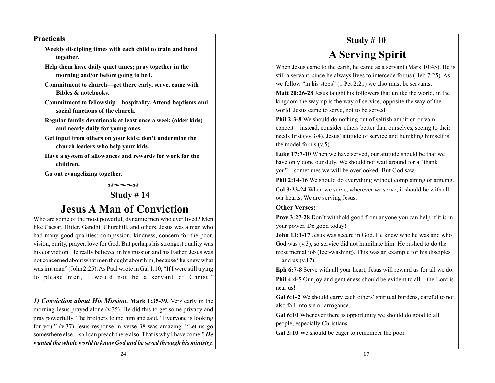#### **Practicals**

**Weekly discipling times with each child to train and bond** t**ogether.**

- **Help them have daily quiet times; pray together in the morning and/or before going to bed.**
- **Commitment to church—get there early, serve, come with Bibles & notebooks.**
- **Commitment to fellowship—hospitality. Attend baptisms and social functions of the church.**
- **Regular family devotionals at least once a week (older kids) and nearly daily for young ones.**
- **Get input from others on your kids; don't undermine the church leaders who help your kids.**
- **Have a system of allowances and rewards for work for the children.**

**Go out evangelizing together.**

 $89 - -89$ 

## **Study # 14**

# **Jesus A Man of Conviction**

Who are some of the most powerful, dynamic men who ever lived? Men like Caesar, Hitler, Gandhi, Churchill, and others. Jesus was a man who had many good qualities: compassion, kindness, concern for the poor, vision, purity, prayer, love for God. But perhaps his strongest quality was his conviction. He really believed in his mission and his Father. Jesus was not concerned about what men thought about him, because "he knew what was in a man" (John 2:25). As Paul wrote in Gal 1:10, "If I were still trying to please men, I would not be a servant of Christ."

*1) Conviction about His Mission.* **Mark 1:35-39.** Very early in the morning Jesus prayed alone (v.35). He did this to get some privacy and pray powerfully. The brothers found him and said, "Everyone is looking for you." (v.37) Jesus response in verse 38 was amazing: "Let us go somewhere else…so I can preach there also. That is why I have come." *He wanted the whole world to know God and be saved through his ministry.* 

# **Study # 10 A Serving Spirit**

When Jesus came to the earth, he came as a servant (Mark 10:45). He is still a servant, since he always lives to intercede for us (Heb 7:25). As we follow "in his steps" (1 Pet 2:21) we also must be servants.

**Matt 20:26-28** Jesus taught his followers that unlike the world, in the kingdom the way up is the way of service, opposite the way of the world. Jesus came to serve, not to be served.

**Phil 2:3-8** We should do nothing out of selfish ambition or vain conceit—instead, consider others better than ourselves, seeing to their needs first (vv.3-4). Jesus' attitude of service and humbling himself is the model for us (v.5).

**Luke 17:7-10** When we have served, our attitude should be that we have only done our duty. We should not wait around for a "thank you"—sometimes we will be overlooked! But God saw.

**Phil 2:14-16** We should do everything without complaining or arguing.

**Col 3:23-24** When we serve, wherever we serve, it should be with all our hearts. We are serving Jesus.

#### **Other Verses:**

**Prov 3:27-28** Don't withhold good from anyone you can help if it is in your power. Do good today!

**John 13:1-17** Jesus was secure in God. He knew who he was and who God was (v.3), so service did not humiliate him. He rushed to do the most menial job (feet-washing). This was an example for his disciples  $-$ and us  $(v.17)$ .

**Eph 6:7-8** Serve with all your heart, Jesus will reward us for all we do. **Phil 4:4-5** Our joy and gentleness should be evident to all—the Lord is near us!

**Gal 6:1-2** We should carry each others' spiritual burdens, careful to not also fall into sin or arrogance.

**Gal 6:10** Whenever there is opportunity we should do good to all people, especially Christians.

**Gal 2:10** We should be eager to remember the poor.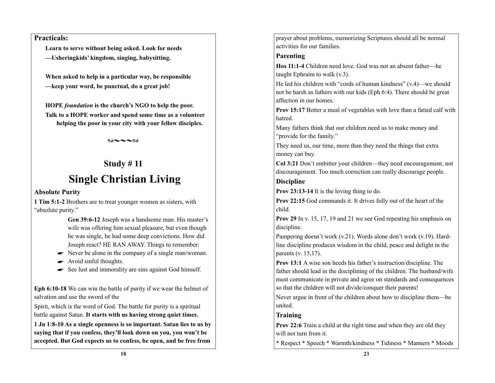#### **Practicals:**

**Learn to serve without being asked. Look for needs —Ushering, kids' kingdom, singing, babysitting.**

**When asked to help in a particular way, be responsible —keep your word, be punctual, do a great job!**

**HOPE** *foundation* **is the church's NGO to help the poor. Talk to a HOPE worker and spend some time as a volunteer helping the poor in your city with your fellow disciples.**

 $88 - -38$ 

## **Study # 11**

# **Single Christian Living**

#### **Absolute Purity**

**1 Tim 5:1-2** Brothers are to treat younger women as sisters, with "absolute purity."

> **Gen 39:6-12** Joseph was a handsome man. His master's wife was offering him sexual pleasure, but even though he was single, he had some deep convictions. How did Joseph react? HE RAN AWAY. Things to remember:

- Never be alone in the company of a single man/woman.
- Avoid sinful thoughts.  $\bullet$
- See lust and immorality are sins against God himself.

**Eph 6:10-18** We can win the battle of purity if we wear the helmet of salvation and use the sword of the

Spirit, which is the word of God. The battle for purity is a spiritual battle against Satan. **It starts with us having strong quiet times.**

**1 Jn 1:8-10 As a single openness is so important. Satan lies to us by saying that if you confess, they'll look down on you, you won't be accepted. But God expects us to confess, be open, and be free from** 

prayer about problems, memorizing Scriptures should all be normal activities for our families.

#### **Parenting**

**Hos 11:1-4** Children need love. God was not an absent father—he taught Ephraim to walk (v.3).

He led his children with "cords of human kindness"  $(v.4)$ —we should not be harsh as fathers with our kids (Eph 6:4). There should be great affection in our homes.

**Prov 15:17** Better a meal of vegetables with love than a fatted calf with hatred.

Many fathers think that our children need us to make money and "provide for the family."

They need us, our time, more than they need the things that extra money can buy.

**Col 3:21** Don't embitter your children—they need encouragement, not discouragement. Too much correction can really discourage people.

### **Discipline**

**Prov 23:13-14** It is the loving thing to do.

**Prov 22:15** God commands it. It drives folly out of the heart of the child.

**Prov 29** In v. 15, 17, 19 and 21 we see God repeating his emphasis on discipline.

Pampering doesn't work (v.21). Words alone don't work (v.19). Hardline discipline produces wisdom in the child, peace and delight in the parents (v. 15,17).

**Prov 13:1** A wise son heeds his father's instruction/discipline. The father should lead in the disciplining of the children. The husband/wife must communicate in private and agree on standards and consequences so that the children will not divide/conquer their parents!

Never argue in front of the children about how to discipline them—be united.

### **Training**

**Prov 22:6** Train a child at the right time and when they are old they will not turn from it.

\* Respect \* Speech \* Warmth/kindness \* Tidiness \* Manners \* Moods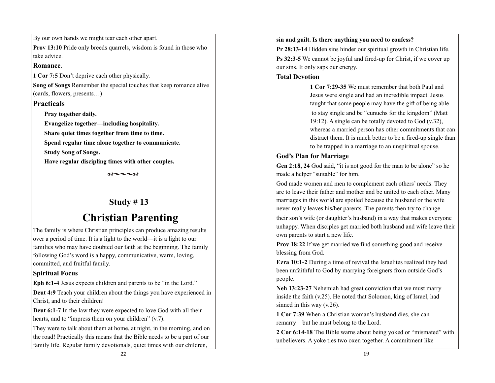By our own hands we might tear each other apart.

**Prov 13:10** Pride only breeds quarrels, wisdom is found in those who take advice.

#### **Romance.**

**1 Cor 7:5** Don't deprive each other physically.

**Song of Songs** Remember the special touches that keep romance alive (cards, flowers, presents…)

### **Practicals**

**Pray together daily.**

**Evangelize together—including hospitality.**

**Share quiet times together from time to time.**

**Spend regular time alone together to communicate.**

**Study Song of Songs.**

**Have regular discipling times with other couples.**

 $89 - -289$ 

# **Study # 13**

# **Christian Parenting**

The family is where Christian principles can produce amazing results over a period of time. It is a light to the world—it is a light to our families who may have doubted our faith at the beginning. The family following God's word is a happy, communicative, warm, loving, committed, and fruitful family.

## **Spiritual Focus**

**Eph 6:1-4** Jesus expects children and parents to be "in the Lord."

**Deut 4:9** Teach your children about the things you have experienced in Christ, and to their children!

**Deut 6:1-7** In the law they were expected to love God with all their hearts, and to "impress them on your children" (v.7).

They were to talk about them at home, at night, in the morning, and on the road! Practically this means that the Bible needs to be a part of our family life. Regular family devotionals, quiet times with our children,

**sin and guilt. Is there anything you need to confess?**

**Pr 28:13-14** Hidden sins hinder our spiritual growth in Christian life. **Ps 32:3-5** We cannot be joyful and fired-up for Christ, if we cover up our sins. It only saps our energy.

### **Total Devotion**

**1 Cor 7:29-35** We must remember that both Paul and Jesus were single and had an incredible impact. Jesus taught that some people may have the gift of being able to stay single and be "eunuchs for the kingdom" (Matt 19:12). A single can be totally devoted to God (v.32), whereas a married person has other commitments that can distract them. It is much better to be a fired-up single than to be trapped in a marriage to an unspiritual spouse.

## **God's Plan for Marriage**

**Gen 2:18, 24** God said, "it is not good for the man to be alone" so he made a helper "suitable" for him.

God made women and men to complement each others' needs. They are to leave their father and mother and be united to each other. Many marriages in this world are spoiled because the husband or the wife never really leaves his/her parents. The parents then try to change

their son's wife (or daughter's husband) in a way that makes everyone unhappy. When disciples get married both husband and wife leave their own parents to start a new life.

**Prov 18:22** If we get married we find something good and receive blessing from God.

**Ezra 10:1-2** During a time of revival the Israelites realized they had been unfaithful to God by marrying foreigners from outside God's people.

**Neh 13:23-27** Nehemiah had great conviction that we must marry inside the faith (v.25). He noted that Solomon, king of Israel, had sinned in this way (v.26).

**1 Cor 7:39** When a Christian woman's husband dies, she can remarry—but he must belong to the Lord.

**2 Cor 6:14-18** The Bible warns about being yoked or "mismated" with unbelievers. A yoke ties two oxen together. A commitment like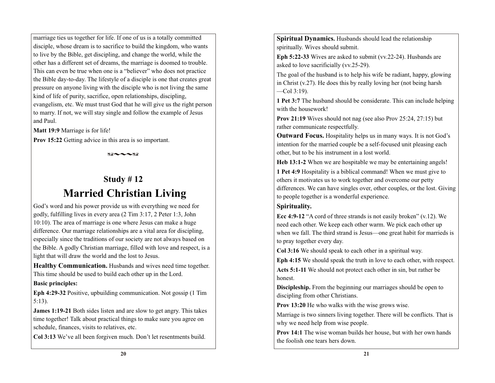marriage ties us together for life. If one of us is a totally committed disciple, whose dream is to sacrifice to build the kingdom, who wants to live by the Bible, get discipling, and change the world, while the other has a different set of dreams, the marriage is doomed to trouble. This can even be true when one is a "believer" who does not practice the Bible day-to-day. The lifestyle of a disciple is one that creates great pressure on anyone living with the disciple who is not living the same kind of life of purity, sacrifice, open relationships, discipling, evangelism, etc. We must trust God that he will give us the right person to marry. If not, we will stay single and follow the example of Jesus and Paul.

**Matt 19:9** Marriage is for life!

**Prov 15:22** Getting advice in this area is so important.

 $X\mathbb{A}\sim\sim X\mathbb{A}$ 

### **Study # 12**

# **Married Christian Living**

God's word and his power provide us with everything we need for godly, fulfilling lives in every area (2 Tim 3:17, 2 Peter 1:3, John 10:10). The area of marriage is one where Jesus can make a huge difference. Our marriage relationships are a vital area for discipling, especially since the traditions of our society are not always based on the Bible. A godly Christian marriage, filled with love and respect, is a light that will draw the world and the lost to Jesus.

**Healthy Communication.** Husbands and wives need time together. This time should be used to build each other up in the Lord.

#### **Basic principles:**

**Eph 4:29-32** Positive, upbuilding communication. Not gossip (1 Tim 5:13).

**James 1:19-21** Both sides listen and are slow to get angry. This takes time together! Talk about practical things to make sure you agree on schedule, finances, visits to relatives, etc.

**Col 3:13** We've all been forgiven much. Don't let resentments build.

**Spiritual Dynamics.** Husbands should lead the relationship spiritually. Wives should submit.

**Eph 5:22-33** Wives are asked to submit (vv.22-24). Husbands are asked to love sacrificially (vv.25-29).

The goal of the husband is to help his wife be radiant, happy, glowing in Christ (v.27). He does this by really loving her (not being harsh  $-$ Col 3:19).

**1 Pet 3:7** The husband should be considerate. This can include helping with the housework!

**Prov 21:19** Wives should not nag (see also Prov 25:24, 27:15) but rather communicate respectfully.

**Outward Focus.** Hospitality helps us in many ways. It is not God's intention for the married couple be a self-focused unit pleasing each other, but to be his instrument in a lost world.

**Heb 13:1-2** When we are hospitable we may be entertaining angels!

**1 Pet 4:9** Hospitality is a biblical command! When we must give to others it motivates us to work together and overcome our petty differences. We can have singles over, other couples, or the lost. Giving to people together is a wonderful experience.

### **Spirituality.**

**Ecc 4:9-12** "A cord of three strands is not easily broken" (v.12). We need each other. We keep each other warm. We pick each other up when we fall. The third strand is Jesus—one great habit for marrieds is to pray together every day.

**Col 3:16** We should speak to each other in a spiritual way.

**Eph 4:15** We should speak the truth in love to each other, with respect.

**Acts 5:1-11** We should not protect each other in sin, but rather be honest.

**Discipleship.** From the beginning our marriages should be open to discipling from other Christians.

**Prov 13:20** He who walks with the wise grows wise.

Marriage is two sinners living together. There will be conflicts. That is why we need help from wise people.

**Prov 14:1** The wise woman builds her house, but with her own hands the foolish one tears hers down.